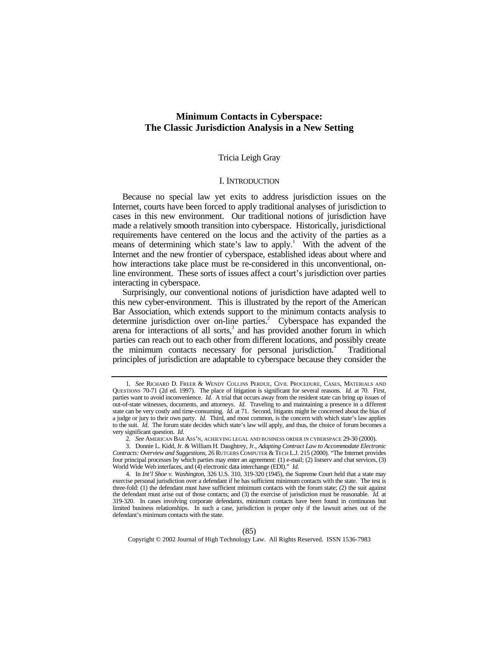# **Minimum Contacts in Cyberspace: The Classic Jurisdiction Analysis in a New Setting**

## Tricia Leigh Gray

## I. INTRODUCTION

Because no special law yet exits to address jurisdiction issues on the Internet, courts have been forced to apply traditional analyses of jurisdiction to cases in this new environment. Our traditional notions of jurisdiction have made a relatively smooth transition into cyberspace. Historically, jurisdictional requirements have centered on the locus and the activity of the parties as a means of determining which state's law to apply.<sup>1</sup> With the advent of the Internet and the new frontier of cyberspace, established ideas about where and how interactions take place must be re-considered in this unconventional, online environment. These sorts of issues affect a court's jurisdiction over parties interacting in cyberspace.

Surprisingly, our conventional notions of jurisdiction have adapted well to this new cyber-environment. This is illustrated by the report of the American Bar Association, which extends support to the minimum contacts analysis to determine jurisdiction over on-line parties.<sup>2</sup> Cyberspace has expanded the arena for interactions of all sorts,<sup>3</sup> and has provided another forum in which parties can reach out to each other from different locations, and possibly create the minimum contacts necessary for personal jurisdiction.<sup>4</sup> Traditional principles of jurisdiction are adaptable to cyberspace because they consider the

Copyright © 2002 Journal of High Technology Law. All Rights Reserved. ISSN 1536-7983

<sup>1</sup>*. See* RICHARD D. FREER & WENDY COLLINS PERDUE, CIVIL PROCEDURE, CASES, MATERIALS AND QUESTIONS 70-71 (2d ed. 1997). The place of litigation is significant for several reasons. *Id.* at 70. First, parties want to avoid inconvenience. *Id*. A trial that occurs away from the resident state can bring up issues of out-of-state witnesses, documents, and attorneys. *Id*. Traveling to and maintaining a presence in a different state can be very costly and time-consuming. *Id.* at 71. Second, litigants might be concerned about the bias of a judge or jury to their own party. *Id*. Third, and most common, is the concern with which state's law applies to the suit. *Id*. The forum state decides which state's law will apply, and thus, the choice of forum becomes a very significant question. *Id.*

<sup>2</sup>*. See* AMERICAN BAR ASS'N, ACHIEVING LEGAL AND BUSINESS ORDER IN CYBERSPACE 29-30 (2000).

<sup>3.</sup> Donnie L. Kidd, Jr. & William H. Daughtrey, Jr., *Adapting Contract Law to Accommodate Electronic Contracts: Overview and Suggestions*, 26 RUTGERS COMPUTER & TECH L.J. 215 (2000). "The Internet provides four principal processes by which parties may enter an agreement: (1) e-mail; (2) listserv and chat services, (3) World Wide Web interfaces, and (4) electronic data interchange (EDI)." *Id*.

<sup>4.</sup> In *Int'l Shoe v. Washington*, 326 U.S. 310, 319-320 (1945), the Supreme Court held that a state may exercise personal jurisdiction over a defendant if he has sufficient minimum contacts with the state. The test is three-fold: (1) the defendant must have sufficient minimum contacts with the forum state; (2) the suit against the defendant must arise out of those contacts; and (3) the exercise of jurisdiction must be reasonable. *Id.* at 319-320. In cases involving corporate defendants, minimum contacts have been found in continuous but limited business relationships. In such a case, jurisdiction is proper only if the lawsuit arises out of the defendant's minimum contacts with the state.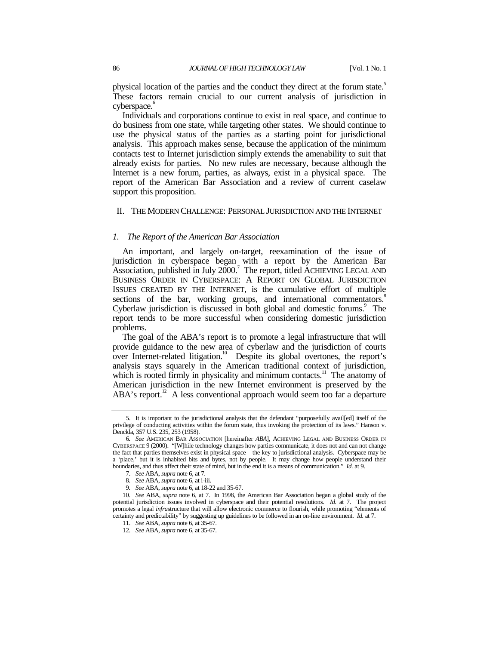physical location of the parties and the conduct they direct at the forum state.<sup>5</sup> These factors remain crucial to our current analysis of jurisdiction in cyberspace.<sup>6</sup>

Individuals and corporations continue to exist in real space, and continue to do business from one state, while targeting other states. We should continue to use the physical status of the parties as a starting point for jurisdictional analysis. This approach makes sense, because the application of the minimum contacts test to Internet jurisdiction simply extends the amenability to suit that already exists for parties. No new rules are necessary, because although the Internet is a new forum, parties, as always, exist in a physical space. The report of the American Bar Association and a review of current caselaw support this proposition.

## II. THE MODERN CHALLENGE: PERSONAL JURISDICTION AND THE INTERNET

#### *1. The Report of the American Bar Association*

An important, and largely on-target, reexamination of the issue of jurisdiction in cyberspace began with a report by the American Bar Association, published in July 2000.<sup>7</sup> The report, titled ACHIEVING LEGAL AND BUSINESS ORDER IN CYBERSPACE: A REPORT ON GLOBAL JURISDICTION ISSUES CREATED BY THE INTERNET, is the cumulative effort of multiple sections of the bar, working groups, and international commentators.<sup>8</sup> Cyberlaw jurisdiction is discussed in both global and domestic forums.<sup>9</sup> The report tends to be more successful when considering domestic jurisdiction problems.

The goal of the ABA's report is to promote a legal infrastructure that will provide guidance to the new area of cyberlaw and the jurisdiction of courts over Internet-related litigation.<sup>10</sup> Despite its global overtones, the report's analysis stays squarely in the American traditional context of jurisdiction, which is rooted firmly in physicality and minimum contacts. $11$  The anatomy of American jurisdiction in the new Internet environment is preserved by the  $ABA$ 's report.<sup>12</sup> A less conventional approach would seem too far a departure

<sup>5.</sup> It is important to the jurisdictional analysis that the defendant "purposefully avail[ed] itself of the privilege of conducting activities within the forum state, thus invoking the protection of its laws." Hanson v. Denckla, 357 U.S. 235, 253 (1958).

<sup>6</sup>*. See* AMERICAN BAR ASSOCIATION [hereinafter *ABA*], ACHIEVING LEGAL AND BUSINESS ORDER IN CYBERSPACE 9 (2000). "[W]hile technology changes how parties communicate, it does not and can not change the fact that parties themselves exist in physical space – the key to jurisdictional analysis. Cyberspace may be a 'place,' but it is inhabited bits and bytes, not by people. It may change how people understand their boundaries, and thus affect their state of mind, but in the end it is a means of communication." *Id.* at 9.

<sup>7</sup>*. See* ABA, *supra* note 6, at 7.

<sup>8</sup>*. See* ABA, *supra* note 6, at i-iii.

<sup>9</sup>*. See* ABA, *supra* note 6, at 18-22 and 35-67.

<sup>10</sup>*. See* ABA, *supra* note 6, at 7. In 1998, the American Bar Association began a global study of the potential jurisdiction issues involved in cyberspace and their potential resolutions. *Id.* at 7. The project promotes a legal *infra*structure that will allow electronic commerce to flourish, while promoting "elements of certainty and predictability" by suggesting up guidelines to be followed in an on-line environment. *Id.* at 7.

<sup>11</sup>*. See* ABA, *supra* note 6, at 35-67.

<sup>12</sup>*. See* ABA, *supra* note 6, at 35-67.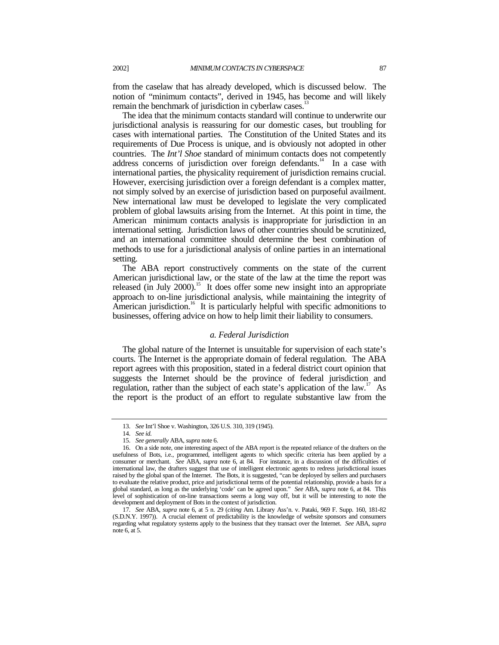from the caselaw that has already developed, which is discussed below. The notion of "minimum contacts", derived in 1945, has become and will likely remain the benchmark of jurisdiction in cyberlaw cases.<sup>13</sup>

The idea that the minimum contacts standard will continue to underwrite our jurisdictional analysis is reassuring for our domestic cases, but troubling for cases with international parties. The Constitution of the United States and its requirements of Due Process is unique, and is obviously not adopted in other countries. The *Int'l Shoe* standard of minimum contacts does not competently address concerns of jurisdiction over foreign defendants.<sup>14</sup> In a case with international parties, the physicality requirement of jurisdiction remains crucial. However, exercising jurisdiction over a foreign defendant is a complex matter, not simply solved by an exercise of jurisdiction based on purposeful availment. New international law must be developed to legislate the very complicated problem of global lawsuits arising from the Internet. At this point in time, the American minimum contacts analysis is inappropriate for jurisdiction in an international setting. Jurisdiction laws of other countries should be scrutinized, and an international committee should determine the best combination of methods to use for a jurisdictional analysis of online parties in an international setting.

The ABA report constructively comments on the state of the current American jurisdictional law, or the state of the law at the time the report was released (in July 2000).<sup>15</sup> It does offer some new insight into an appropriate approach to on-line jurisdictional analysis, while maintaining the integrity of American jurisdiction.<sup>16</sup> It is particularly helpful with specific admonitions to businesses, offering advice on how to help limit their liability to consumers.

#### *a. Federal Jurisdiction*

The global nature of the Internet is unsuitable for supervision of each state's courts. The Internet is the appropriate domain of federal regulation. The ABA report agrees with this proposition, stated in a federal district court opinion that suggests the Internet should be the province of federal jurisdiction and regulation, rather than the subject of each state's application of the law.<sup>17</sup> As the report is the product of an effort to regulate substantive law from the

<sup>13</sup>*. See* Int'l Shoe v. Washington, 326 U.S. 310, 319 (1945).

<sup>14</sup>*. See id.*

<sup>15</sup>*. See generally* ABA, *supra* note 6.

<sup>16.</sup> On a side note, one interesting aspect of the ABA report is the repeated reliance of the drafters on the usefulness of Bots, i.e., programmed, intelligent agents to which specific criteria has been applied by a consumer or merchant. *See* ABA, *supra* note 6, at 84. For instance, in a discussion of the difficulties of international law, the drafters suggest that use of intelligent electronic agents to redress jurisdictional issues raised by the global span of the Internet. The Bots, it is suggested, "can be deployed by sellers and purchasers to evaluate the relative product, price and jurisdictional terms of the potential relationship, provide a basis for a global standard, as long as the underlying 'code' can be agreed upon." *See* ABA, *supra* note 6, at 84. This level of sophistication of on-line transactions seems a long way off, but it will be interesting to note the development and deployment of Bots in the context of jurisdiction.

<sup>17</sup>*. See* ABA, *supra* note 6, at 5 n. 29 (*citing* Am. Library Ass'n. v. Pataki, 969 F. Supp. 160, 181-82 (S.D.N.Y. 1997)). A crucial element of predictability is the knowledge of website sponsors and consumers regarding what regulatory systems apply to the business that they transact over the Internet. *See* ABA, *supra* note 6, at 5.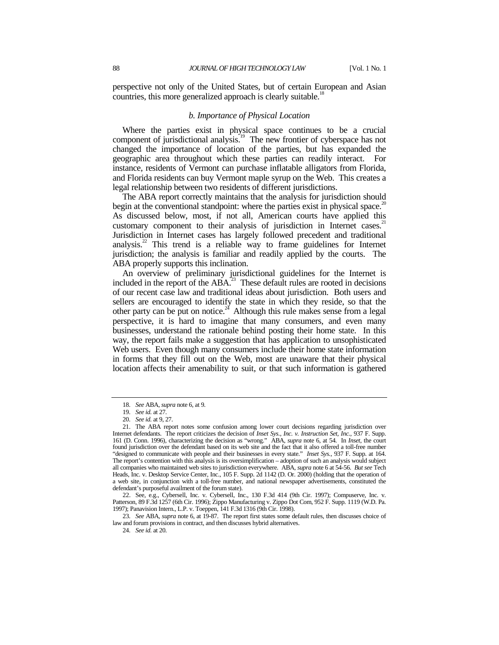perspective not only of the United States, but of certain European and Asian countries, this more generalized approach is clearly suitable.<sup>18</sup>

#### *b. Importance of Physical Location*

Where the parties exist in physical space continues to be a crucial component of jurisdictional analysis.<sup>19</sup> The new frontier of cyberspace has not changed the importance of location of the parties, but has expanded the geographic area throughout which these parties can readily interact. For instance, residents of Vermont can purchase inflatable alligators from Florida, and Florida residents can buy Vermont maple syrup on the Web. This creates a legal relationship between two residents of different jurisdictions.

The ABA report correctly maintains that the analysis for jurisdiction should begin at the conventional standpoint: where the parties exist in physical space.<sup>20</sup> As discussed below, most, if not all, American courts have applied this customary component to their analysis of jurisdiction in Internet cases.<sup>21</sup> Jurisdiction in Internet cases has largely followed precedent and traditional analysis. $2^2$  This trend is a reliable way to frame guidelines for Internet jurisdiction; the analysis is familiar and readily applied by the courts. The ABA properly supports this inclination.

An overview of preliminary jurisdictional guidelines for the Internet is included in the report of the  $\overrightarrow{ABA}^{23}$  These default rules are rooted in decisions of our recent case law and traditional ideas about jurisdiction. Both users and sellers are encouraged to identify the state in which they reside, so that the other party can be put on notice. $2<sup>24</sup>$  Although this rule makes sense from a legal perspective, it is hard to imagine that many consumers, and even many businesses, understand the rationale behind posting their home state. In this way, the report fails make a suggestion that has application to unsophisticated Web users. Even though many consumers include their home state information in forms that they fill out on the Web, most are unaware that their physical location affects their amenability to suit, or that such information is gathered

22. See, e.g., Cybersell, Inc. v. Cybersell, Inc., 130 F.3d 414 (9th Cir. 1997); Compuserve, Inc. v. Patterson, 89 F.3d 1257 (6th Cir. 1996); Zippo Manufacturing v. Zippo Dot Com, 952 F. Supp. 1119 (W.D. Pa. 1997); Panavision Intern., L.P. v. Toeppen, 141 F.3d 1316 (9th Cir. 1998).

23*. See* ABA, *supra* note 6, at 19-87. The report first states some default rules, then discusses choice of law and forum provisions in contract, and then discusses hybrid alternatives.

24*. See id.* at 20.

<sup>18</sup>*. See* ABA, *supra* note 6, at 9.

<sup>19</sup>*. See id.* at 27.

<sup>20</sup>*. See id.* at 9, 27.

<sup>21.</sup> The ABA report notes some confusion among lower court decisions regarding jurisdiction over Internet defendants. The report criticizes the decision of *Inset Sys., Inc. v. Instruction Set, Inc.*, 937 F. Supp. 161 (D. Conn. 1996), characterizing the decision as "wrong." ABA, *supra* note 6, at 54. In *Inset*, the court found jurisdiction over the defendant based on its web site and the fact that it also offered a toll-free number "designed to communicate with people and their businesses in every state." *Inset Sys.,* 937 F. Supp. at 164. The report's contention with this analysis is its oversimplification – adoption of such an analysis would subject all companies who maintained web sites to jurisdiction everywhere. ABA, *supra* note 6 at 54-56. *But see* Tech Heads, Inc. v. Desktop Service Center, Inc., 105 F. Supp. 2d 1142 (D. Or. 2000) (holding that the operation of a web site, in conjunction with a toll-free number, and national newspaper advertisements, constituted the defendant's purposeful availment of the forum state).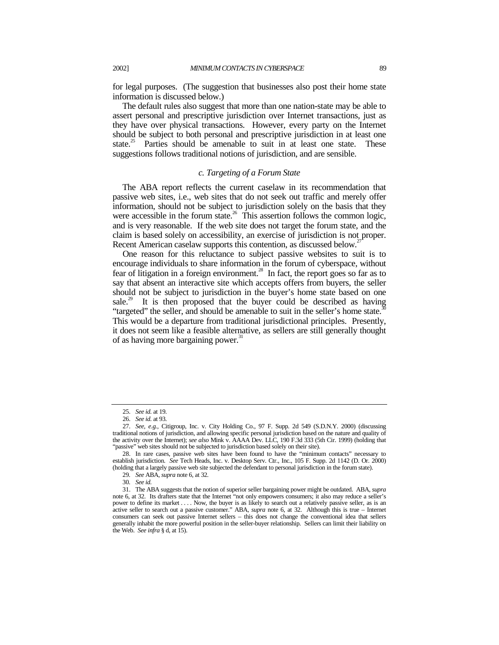for legal purposes. (The suggestion that businesses also post their home state information is discussed below.)

The default rules also suggest that more than one nation-state may be able to assert personal and prescriptive jurisdiction over Internet transactions, just as they have over physical transactions. However, every party on the Internet should be subject to both personal and prescriptive jurisdiction in at least one state.<sup>25</sup> Parties should be amenable to suit in at least one state. These suggestions follows traditional notions of jurisdiction, and are sensible.

#### *c. Targeting of a Forum State*

The ABA report reflects the current caselaw in its recommendation that passive web sites, i.e., web sites that do not seek out traffic and merely offer information, should not be subject to jurisdiction solely on the basis that they were accessible in the forum state.<sup>26</sup> This assertion follows the common logic, and is very reasonable. If the web site does not target the forum state, and the claim is based solely on accessibility, an exercise of jurisdiction is not proper. Recent American caselaw supports this contention, as discussed below.<sup>2</sup>

One reason for this reluctance to subject passive websites to suit is to encourage individuals to share information in the forum of cyberspace, without fear of litigation in a foreign environment.<sup>28</sup> In fact, the report goes so far as to say that absent an interactive site which accepts offers from buyers, the seller should not be subject to jurisdiction in the buyer's home state based on one sale.<sup>29</sup> It is then proposed that the buyer could be described as having "targeted" the seller, and should be amenable to suit in the seller's home state. $30$ This would be a departure from traditional jurisdictional principles. Presently, it does not seem like a feasible alternative, as sellers are still generally thought of as having more bargaining power.<sup>31</sup>

<sup>25</sup>*. See id.* at 19.

<sup>26</sup>*. See id.* at 93.

<sup>27</sup>*. See, e.g.,* Citigroup, Inc. v. City Holding Co., 97 F. Supp. 2d 549 (S.D.N.Y. 2000) (discussing traditional notions of jurisdiction, and allowing specific personal jurisdiction based on the nature and quality of the activity over the Internet); *see also* Mink v. AAAA Dev. LLC, 190 F.3d 333 (5th Cir. 1999) (holding that "passive" web sites should not be subjected to jurisdiction based solely on their site).

<sup>28.</sup> In rare cases, passive web sites have been found to have the "minimum contacts" necessary to establish jurisdiction. *See* Tech Heads, Inc. v. Desktop Serv. Ctr., Inc., 105 F. Supp. 2d 1142 (D. Or. 2000) (holding that a largely passive web site subjected the defendant to personal jurisdiction in the forum state).

<sup>29</sup>*. See* ABA, *supra* note 6, at 32.

<sup>30</sup>*. See id.*

<sup>31.</sup> The ABA suggests that the notion of superior seller bargaining power might be outdated. ABA, *supra* note 6, at 32. Its drafters state that the Internet "not only empowers consumers; it also may reduce a seller's power to define its market . . . . Now, the buyer is as likely to search out a relatively passive seller, as is an active seller to search out a passive customer." ABA, *supra* note 6, at 32. Although this is true – Internet consumers can seek out passive Internet sellers – this does not change the conventional idea that sellers generally inhabit the more powerful position in the seller-buyer relationship. Sellers can limit their liability on the Web. *See infra* § d, at 15).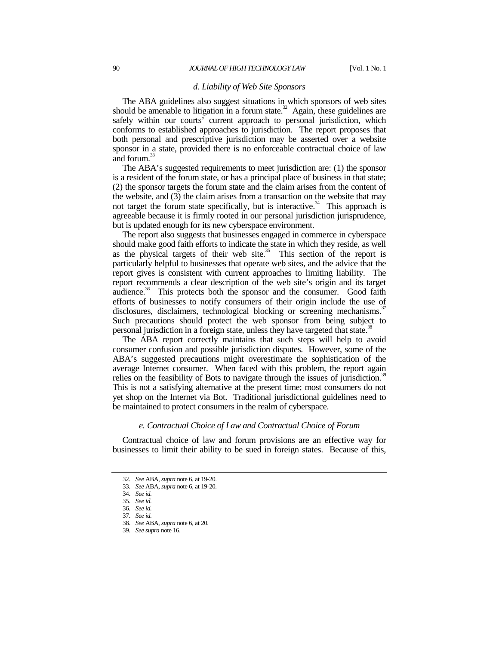#### *d. Liability of Web Site Sponsors*

The ABA guidelines also suggest situations in which sponsors of web sites should be amenable to litigation in a forum state.<sup>32</sup> Again, these guidelines are safely within our courts' current approach to personal jurisdiction, which conforms to established approaches to jurisdiction. The report proposes that both personal and prescriptive jurisdiction may be asserted over a website sponsor in a state, provided there is no enforceable contractual choice of law and forum.<sup>33</sup>

The ABA's suggested requirements to meet jurisdiction are: (1) the sponsor is a resident of the forum state, or has a principal place of business in that state; (2) the sponsor targets the forum state and the claim arises from the content of the website, and  $(3)$  the claim arises from a transaction on the website that may not target the forum state specifically, but is interactive.<sup>34</sup> This approach is agreeable because it is firmly rooted in our personal jurisdiction jurisprudence, but is updated enough for its new cyberspace environment.

The report also suggests that businesses engaged in commerce in cyberspace should make good faith efforts to indicate the state in which they reside, as well as the physical targets of their web site.<sup>35</sup> This section of the report is particularly helpful to businesses that operate web sites, and the advice that the report gives is consistent with current approaches to limiting liability. The report recommends a clear description of the web site's origin and its target audience.<sup>36</sup> This protects both the sponsor and the consumer. Good faith efforts of businesses to notify consumers of their origin include the use of disclosures, disclaimers, technological blocking or screening mechanisms.<sup>37</sup> Such precautions should protect the web sponsor from being subject to personal jurisdiction in a foreign state, unless they have targeted that state.<sup>3</sup>

The ABA report correctly maintains that such steps will help to avoid consumer confusion and possible jurisdiction disputes. However, some of the ABA's suggested precautions might overestimate the sophistication of the average Internet consumer. When faced with this problem, the report again relies on the feasibility of Bots to navigate through the issues of jurisdiction.<sup>39</sup> This is not a satisfying alternative at the present time; most consumers do not yet shop on the Internet via Bot. Traditional jurisdictional guidelines need to be maintained to protect consumers in the realm of cyberspace.

### *e. Contractual Choice of Law and Contractual Choice of Forum*

Contractual choice of law and forum provisions are an effective way for businesses to limit their ability to be sued in foreign states. Because of this,

<sup>32</sup>*. See* ABA, *supra* note 6, at 19-20.

<sup>33</sup>*. See* ABA, *supra* note 6, at 19-20.

<sup>34</sup>*. See id.*

<sup>35</sup>*. See id.*

<sup>36</sup>*. See id.*

<sup>37</sup>*. See id.*

<sup>38</sup>*. See* ABA, *supra* note 6, at 20.

<sup>39</sup>*. See supra* note 16.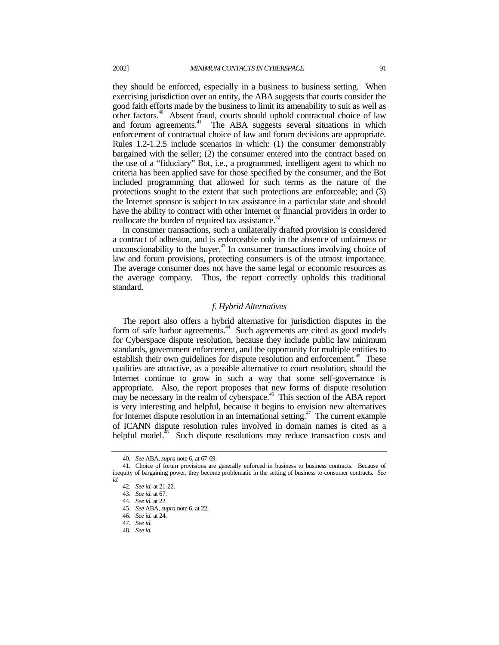they should be enforced, especially in a business to business setting. When exercising jurisdiction over an entity, the ABA suggests that courts consider the good faith efforts made by the business to limit its amenability to suit as well as other factors.<sup>40</sup> Absent fraud, courts should uphold contractual choice of law and forum agreements.<sup>41</sup> The ABA suggests several situations in which enforcement of contractual choice of law and forum decisions are appropriate. Rules 1.2-1.2.5 include scenarios in which: (1) the consumer demonstrably bargained with the seller; (2) the consumer entered into the contract based on the use of a "fiduciary" Bot, i.e., a programmed, intelligent agent to which no criteria has been applied save for those specified by the consumer, and the Bot included programming that allowed for such terms as the nature of the protections sought to the extent that such protections are enforceable; and (3) the Internet sponsor is subject to tax assistance in a particular state and should have the ability to contract with other Internet or financial providers in order to reallocate the burden of required tax assistance.<sup>42</sup>

In consumer transactions, such a unilaterally drafted provision is considered a contract of adhesion, and is enforceable only in the absence of unfairness or unconscionability to the buyer.<sup>43</sup> In consumer transactions involving choice of law and forum provisions, protecting consumers is of the utmost importance. The average consumer does not have the same legal or economic resources as the average company. Thus, the report correctly upholds this traditional standard.

## *f. Hybrid Alternatives*

The report also offers a hybrid alternative for jurisdiction disputes in the form of safe harbor agreements.<sup>44</sup> Such agreements are cited as good models for Cyberspace dispute resolution, because they include public law minimum standards, government enforcement, and the opportunity for multiple entities to establish their own guidelines for dispute resolution and enforcement.<sup>45</sup> These qualities are attractive, as a possible alternative to court resolution, should the Internet continue to grow in such a way that some self-governance is appropriate. Also, the report proposes that new forms of dispute resolution may be necessary in the realm of cyberspace.<sup>46</sup> This section of the ABA report is very interesting and helpful, because it begins to envision new alternatives for Internet dispute resolution in an international setting.<sup>47</sup> The current example of ICANN dispute resolution rules involved in domain names is cited as a helpful model.<sup>48</sup> Such dispute resolutions may reduce transaction costs and

<sup>40</sup>*. See* ABA, *supra* note 6, at 67-69.

<sup>41.</sup> Choice of forum provisions are generally enforced in business to business contracts. Because of inequity of bargaining power, they become problematic in the setting of business to consumer contracts. *See id.*

<sup>42</sup>*. See id.* at 21-22.

<sup>43</sup>*. See id.* at 67.

<sup>44</sup>*. See id.* at 22.

<sup>45</sup>*. See* ABA, *supra* note 6, at 22.

<sup>46</sup>*. See id.* at 24.

<sup>47</sup>*. See id.*

<sup>48</sup>*. See id.*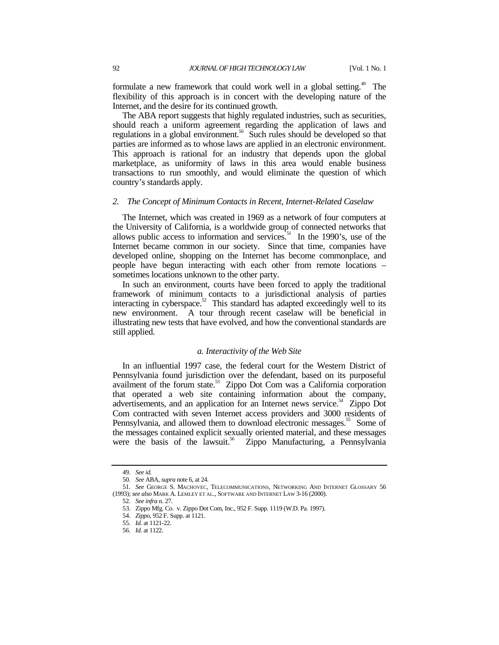formulate a new framework that could work well in a global setting.<sup>49</sup> The flexibility of this approach is in concert with the developing nature of the Internet, and the desire for its continued growth.

The ABA report suggests that highly regulated industries, such as securities, should reach a uniform agreement regarding the application of laws and regulations in a global environment.<sup>50</sup> Such rules should be developed so that parties are informed as to whose laws are applied in an electronic environment. This approach is rational for an industry that depends upon the global marketplace, as uniformity of laws in this area would enable business transactions to run smoothly, and would eliminate the question of which country's standards apply.

## *2. The Concept of Minimum Contacts in Recent, Internet-Related Caselaw*

The Internet, which was created in 1969 as a network of four computers at the University of California, is a worldwide group of connected networks that allows public access to information and services.<sup>51</sup> In the 1990's, use of the Internet became common in our society. Since that time, companies have developed online, shopping on the Internet has become commonplace, and people have begun interacting with each other from remote locations – sometimes locations unknown to the other party.

In such an environment, courts have been forced to apply the traditional framework of minimum contacts to a jurisdictional analysis of parties interacting in cyberspace.<sup>52</sup> This standard has adapted exceedingly well to its new environment. A tour through recent caselaw will be beneficial in illustrating new tests that have evolved, and how the conventional standards are still applied.

## *a. Interactivity of the Web Site*

In an influential 1997 case, the federal court for the Western District of Pennsylvania found jurisdiction over the defendant, based on its purposeful availment of the forum state.<sup>53</sup> Zippo Dot Com was a California corporation that operated a web site containing information about the company, advertisements, and an application for an Internet news service.<sup>54</sup> Zippo Dot Com contracted with seven Internet access providers and 3000 residents of Pennsylvania, and allowed them to download electronic messages.<sup>55</sup> Some of the messages contained explicit sexually oriented material, and these messages were the basis of the lawsuit.<sup>56</sup> Zippo Manufacturing, a Pennsylvania Zippo Manufacturing, a Pennsylvania

<sup>49</sup>*. See id.*

<sup>50</sup>*. See* ABA, *supra* note 6, at 24.

<sup>51</sup>*. See* GEORGE S. MACHOVEC, TELECOMMUNICATIONS, NETWORKING AND INTERNET GLOSSARY 56 (1993); *see also* MARK A. LEMLEY ET AL., SOFTWARE AND INTERNET LAW 3-16 (2000).

<sup>52</sup>*. See infra* n. 27.

<sup>53.</sup> Zippo Mfg. Co. v. Zippo Dot Com, Inc., 952 F. Supp. 1119 (W.D. Pa. 1997).

<sup>54</sup>*. Zippo*, 952 F. Supp. at 1121.

<sup>55</sup>*. Id.* at 1121-22.

<sup>56</sup>*. Id.* at 1122.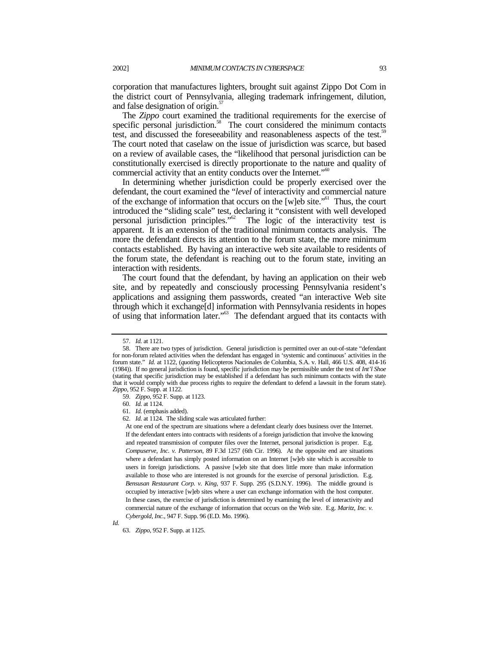corporation that manufactures lighters, brought suit against Zippo Dot Com in the district court of Pennsylvania, alleging trademark infringement, dilution, and false designation of origin.<sup>37</sup>

The *Zippo* court examined the traditional requirements for the exercise of specific personal jurisdiction.<sup>58</sup> The court considered the minimum contacts test, and discussed the foreseeability and reasonableness aspects of the test.<sup>59</sup> The court noted that caselaw on the issue of jurisdiction was scarce, but based on a review of available cases, the "likelihood that personal jurisdiction can be constitutionally exercised is directly proportionate to the nature and quality of commercial activity that an entity conducts over the Internet."<sup>60</sup>

In determining whether jurisdiction could be properly exercised over the defendant, the court examined the "*level* of interactivity and commercial nature of the exchange of information that occurs on the  $[w]$ eb site.<sup> $0$ </sup> Thus, the court introduced the "sliding scale" test, declaring it "consistent with well developed<br>personal jurisdiction principles." The logic of the interactivity test is The logic of the interactivity test is apparent. It is an extension of the traditional minimum contacts analysis. The more the defendant directs its attention to the forum state, the more minimum contacts established. By having an interactive web site available to residents of the forum state, the defendant is reaching out to the forum state, inviting an interaction with residents.

The court found that the defendant, by having an application on their web site, and by repeatedly and consciously processing Pennsylvania resident's applications and assigning them passwords, created "an interactive Web site through which it exchange[d] information with Pennsylvania residents in hopes of using that information later."63 The defendant argued that its contacts with

At one end of the spectrum are situations where a defendant clearly does business over the Internet. If the defendant enters into contracts with residents of a foreign jurisdiction that involve the knowing and repeated transmission of computer files over the Internet, personal jurisdiction is proper. E.g. *Compuserve, Inc. v. Patterson*, 89 F.3d 1257 (6th Cir. 1996). At the opposite end are situations where a defendant has simply posted information on an Internet [w]eb site which is accessible to users in foreign jurisdictions. A passive [w]eb site that does little more than make information available to those who are interested is not grounds for the exercise of personal jurisdiction. E.g. *Bensusan Restaurant Corp. v. King*, 937 F. Supp. 295 (S.D.N.Y. 1996). The middle ground is occupied by interactive [w]eb sites where a user can exchange information with the host computer. In these cases, the exercise of jurisdiction is determined by examining the level of interactivity and commercial nature of the exchange of information that occurs on the Web site. E.g. *Maritz, Inc. v. Cybergold, Inc.*, 947 F. Supp. 96 (E.D. Mo. 1996).

*Id.*

<sup>57</sup>*. Id.* at 1121.

<sup>58.</sup> There are two types of jurisdiction. General jurisdiction is permitted over an out-of-state "defendant for non-forum related activities when the defendant has engaged in 'systemic and continuous' activities in the forum state." *Id.* at 1122, (*quoting* Helicopteros Nacionales de Columbia, S.A. v. Hall, 466 U.S. 408, 414-16 (1984)). If no general jurisdiction is found, specific jurisdiction may be permissible under the test of *Int'l Shoe* (stating that specific jurisdiction may be established if a defendant has such minimum contacts with the state that it would comply with due process rights to require the defendant to defend a lawsuit in the forum state). *Zippo,* 952 F. Supp. at 1122.

<sup>59</sup>*. Zippo*, 952 F. Supp. at 1123.

<sup>60</sup>*. Id.* at 1124.

<sup>61</sup>*. Id.* (emphasis added).

<sup>62</sup>*. Id.* at 1124. The sliding scale was articulated further:

<sup>63</sup>*. Zippo,* 952 F. Supp. at 1125.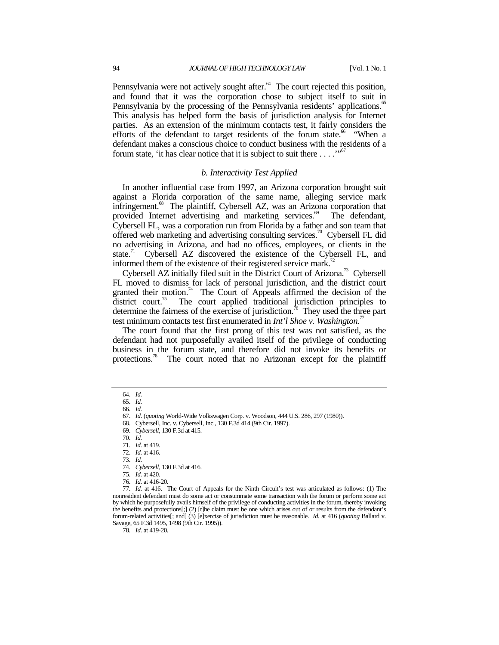Pennsylvania were not actively sought after. $64$  The court rejected this position, and found that it was the corporation chose to subject itself to suit in Pennsylvania by the processing of the Pennsylvania residents' applications.<sup>65</sup> This analysis has helped form the basis of jurisdiction analysis for Internet parties. As an extension of the minimum contacts test, it fairly considers the efforts of the defendant to target residents of the forum state.<sup>66</sup> "When a defendant makes a conscious choice to conduct business with the residents of a forum state, 'it has clear notice that it is subject to suit there  $\dots$ ."<sup>67</sup>

#### *b. Interactivity Test Applied*

In another influential case from 1997, an Arizona corporation brought suit against a Florida corporation of the same name, alleging service mark infringement.<sup>68</sup> The plaintiff, Cybersell AZ, was an Arizona corporation that provided Internet advertising and marketing services.<sup>69</sup> The defendant, Cybersell FL, was a corporation run from Florida by a father and son team that offered web marketing and advertising consulting services.<sup>70</sup> Cybersell FL did no advertising in Arizona, and had no offices, employees, or clients in the state.<sup>71</sup> Cybersell AZ discovered the existence of the Cybersell FL, and informed them of the existence of their registered service mark.<sup>72</sup>

Cybersell AZ initially filed suit in the District Court of Arizona.<sup>73</sup> Cybersell FL moved to dismiss for lack of personal jurisdiction, and the district court granted their motion.<sup>74</sup> The Court of Appeals affirmed the decision of the district court.<sup>75</sup> The court applied traditional jurisdiction principles to The court applied traditional jurisdiction principles to determine the fairness of the exercise of jurisdiction.<sup>76</sup> They used the three part test minimum contacts test first enumerated in *Int'l Shoe v. Washington*. 77

The court found that the first prong of this test was not satisfied, as the defendant had not purposefully availed itself of the privilege of conducting business in the forum state, and therefore did not invoke its benefits or protections.<sup>78</sup> The court noted that no Arizonan except for the plaintiff

<sup>64</sup>*. Id.* 65*. Id.*

<sup>66</sup>*. Id.*

<sup>67</sup>*. Id*. (*quoting* World-Wide Volkswagen Corp. v. Woodson, 444 U.S. 286, 297 (1980)).

<sup>68.</sup> Cybersell, Inc. v. Cybersell, Inc., 130 F.3d 414 (9th Cir. 1997).

<sup>69</sup>*. Cybersell*, 130 F.3d at 415.

<sup>70</sup>*. Id.*

<sup>71</sup>*. Id.* at 419.

<sup>72</sup>*. Id.* at 416.

<sup>73</sup>*. Id.*

<sup>74</sup>*. Cybersell,* 130 F.3d at 416.

<sup>75</sup>*. Id.* at 420.

<sup>76</sup>*. Id.* at 416-20.

<sup>77</sup>*. Id.* at 416. The Court of Appeals for the Ninth Circuit's test was articulated as follows: (1) The nonresident defendant must do some act or consummate some transaction with the forum or perform some act by which he purposefully avails himself of the privilege of conducting activities in the forum, thereby invoking the benefits and protections[;] (2) [t]he claim must be one which arises out of or results from the defendant's forum-related activities[; and] (3) [e]xercise of jurisdiction must be reasonable. *Id.* at 416 (*quoting* Ballard v. Savage, 65 F.3d 1495, 1498 (9th Cir. 1995)).

<sup>78</sup>*. Id.* at 419-20.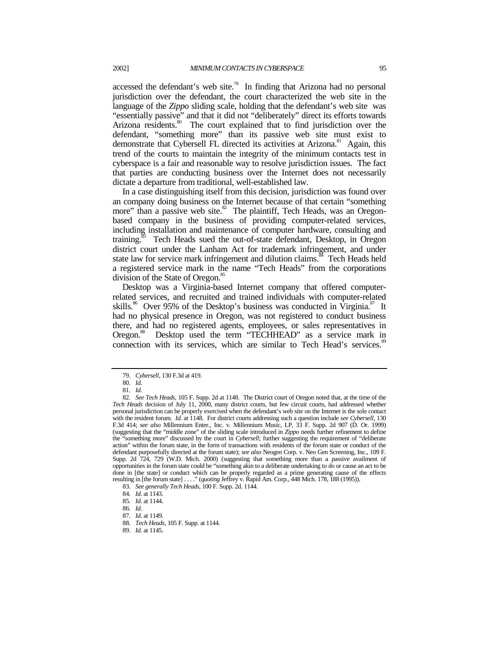accessed the defendant's web site.<sup>79</sup> In finding that Arizona had no personal jurisdiction over the defendant, the court characterized the web site in the language of the *Zippo* sliding scale, holding that the defendant's web site was "essentially passive" and that it did not "deliberately" direct its efforts towards Arizona residents.<sup>80</sup> The court explained that to find jurisdiction over the defendant, "something more" than its passive web site must exist to demonstrate that Cybersell FL directed its activities at Arizona.<sup>81</sup> Again, this trend of the courts to maintain the integrity of the minimum contacts test in cyberspace is a fair and reasonable way to resolve jurisdiction issues. The fact that parties are conducting business over the Internet does not necessarily dictate a departure from traditional, well-established law.

In a case distinguishing itself from this decision, jurisdiction was found over an company doing business on the Internet because of that certain "something more" than a passive web site. $82$  The plaintiff, Tech Heads, was an Oregonbased company in the business of providing computer-related services, including installation and maintenance of computer hardware, consulting and training.<sup>83</sup> Tech Heads sued the out-of-state defendant, Desktop, in Oregon district court under the Lanham Act for trademark infringement, and under state law for service mark infringement and dilution claims.<sup>84</sup> Tech Heads held a registered service mark in the name "Tech Heads" from the corporations division of the State of Oregon.<sup>8</sup>

Desktop was a Virginia-based Internet company that offered computerrelated services, and recruited and trained individuals with computer-related skills.<sup>86</sup> Over 95% of the Desktop's business was conducted in Virginia.<sup>87</sup> It had no physical presence in Oregon, was not registered to conduct business there, and had no registered agents, employees, or sales representatives in Oregon.<sup>88</sup> Desktop used the term "TECHHEAD" as a service mark in connection with its services, which are similar to Tech Head's services.<sup>89</sup>

<sup>79</sup>*. Cybersell*, 130 F.3d at 419.

<sup>80</sup>*. Id.*

<sup>81</sup>*. Id.*

<sup>82</sup>*. See Tech Heads,* 105 F. Supp. 2d at 1148. The District court of Oregon noted that, at the time of the *Tech Heads* decision of July 11, 2000, many district courts, but few circuit courts, had addressed whether personal jurisdiction can be properly exercised when the defendant's web site on the Internet is the sole contact with the resident forum. *Id.* at 1148. For district courts addressing such a question include *see Cybersell*, 130 F.3d 414; *see also* Millennium Enter., Inc. v. Millennium Music, LP, 33 F. Supp. 2d 907 (D. Or. 1999) (suggesting that the "middle zone" of the sliding scale introduced in *Zippo* needs further refinement to define the "something more" discussed by the court in *Cybersell*; further suggesting the requirement of "deliberate action" within the forum state, in the form of transactions with residents of the forum state or conduct of the defendant purposefully directed at the forum state); *see also* Neogen Corp. v. Neo Gen Screening, Inc., 109 F. Supp. 2d 724, 729 (W.D. Mich. 2000) (suggesting that something more than a passive availment of opportunities in the forum state could be "something akin to a deliberate undertaking to do or cause an act to be done in [the state] or conduct which can be properly regarded as a prime generating cause of the effects resulting in [the forum state] . . . ." (*quoting* Jeffrey v. Rapid Am. Corp., 448 Mich. 178, 188 (1995)).

<sup>83</sup>*. See generally Tech Heads*, 100 F. Supp. 2d. 1144.

<sup>84</sup>*. Id.* at 1143.

<sup>85</sup>*. Id.* at 1144.

<sup>86</sup>*. Id.*

<sup>87</sup>*. Id.* at 1149.

<sup>88</sup>*. Tech Heads*, 105 F. Supp. at 1144.

<sup>89</sup>*. Id.* at 1145.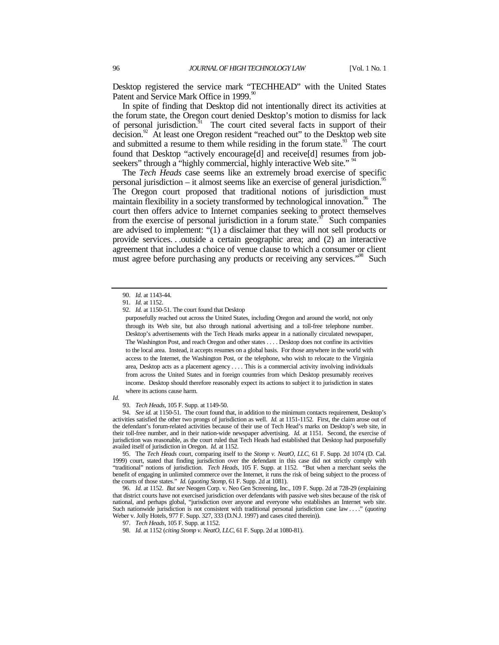Desktop registered the service mark "TECHHEAD" with the United States Patent and Service Mark Office in 1999.<sup>90</sup>

In spite of finding that Desktop did not intentionally direct its activities at the forum state, the Oregon court denied Desktop's motion to dismiss for lack of personal jurisdiction.<sup>91</sup> The court cited several facts in support of their decision.<sup>92</sup> At least one Oregon resident "reached out" to the Desktop web site and submitted a resume to them while residing in the forum state.<sup>93</sup> The court found that Desktop "actively encourage[d] and receive[d] resumes from jobseekers" through a "highly commercial, highly interactive Web site."

The *Tech Heads* case seems like an extremely broad exercise of specific personal jurisdiction – it almost seems like an exercise of general jurisdiction.<sup>95</sup> The Oregon court proposed that traditional notions of jurisdiction must maintain flexibility in a society transformed by technological innovation.<sup>96</sup> The court then offers advice to Internet companies seeking to protect themselves from the exercise of personal jurisdiction in a forum state. $\frac{97}{10}$  Such companies are advised to implement: "(1) a disclaimer that they will not sell products or provide services. . .outside a certain geographic area; and (2) an interactive agreement that includes a choice of venue clause to which a consumer or client must agree before purchasing any products or receiving any services."<sup>98</sup> Such

*Id.*

95. The *Tech Heads* court, comparing itself to the *Stomp v. NeatO, LLC*, 61 F. Supp. 2d 1074 (D. Cal. 1999) court, stated that finding jurisdiction over the defendant in this case did not strictly comply with "traditional" notions of jurisdiction. *Tech Heads*, 105 F. Supp. at 1152. "But when a merchant seeks the benefit of engaging in unlimited commerce over the Internet, it runs the risk of being subject to the process of the courts of those states." *Id.* (*quoting Stomp*, 61 F. Supp. 2d at 1081).

96*. Id.* at 1152. *But see* Neogen Corp. v. Neo Gen Screening, Inc., 109 F. Supp. 2d at 728-29 (explaining that district courts have not exercised jurisdiction over defendants with passive web sites because of the risk of national, and perhaps global, "jurisdiction over anyone and everyone who establishes an Internet web site. Such nationwide jurisdiction is not consistent with traditional personal jurisdiction case law . . . ." (*quoting* Weber v. Jolly Hotels, 977 F. Supp. 327, 333 (D.N.J. 1997) and cases cited therein)).

<sup>90</sup>*. Id.* at 1143-44.

<sup>91</sup>*. Id.* at 1152.

<sup>92</sup>*. Id.* at 1150-51. The court found that Desktop

purposefully reached out across the United States, including Oregon and around the world, not only through its Web site, but also through national advertising and a toll-free telephone number. Desktop's advertisements with the Tech Heads marks appear in a nationally circulated newspaper, The Washington Post, and reach Oregon and other states . . . . Desktop does not confine its activities to the local area. Instead, it accepts resumes on a global basis. For those anywhere in the world with access to the Internet, the Washington Post, or the telephone, who wish to relocate to the Virginia area, Desktop acts as a placement agency . . . . This is a commercial activity involving individuals from across the United States and in foreign countries from which Desktop presumably receives income. Desktop should therefore reasonably expect its actions to subject it to jurisdiction in states where its actions cause harm.

<sup>93</sup>*. Tech Heads*, 105 F. Supp. at 1149-50.

<sup>94</sup>*. See id.* at 1150-51. The court found that, in addition to the minimum contacts requirement, Desktop's activities satisfied the other two prongs of jurisdiction as well. *Id.* at 1151-1152. First, the claim arose out of the defendant's forum-related activities because of their use of Tech Head's marks on Desktop's web site, in their toll-free number, and in their nation-wide newspaper advertising. *Id.* at 1151. Second, the exercise of jurisdiction was reasonable, as the court ruled that Tech Heads had established that Desktop had purposefully availed itself of jurisdiction in Oregon. *Id.* at 1152.

<sup>97</sup>*. Tech Heads*, 105 F. Supp. at 1152.

<sup>98</sup>*. Id.* at 1152 (*citing Stomp v. NeatO, LLC*, 61 F. Supp. 2d at 1080-81).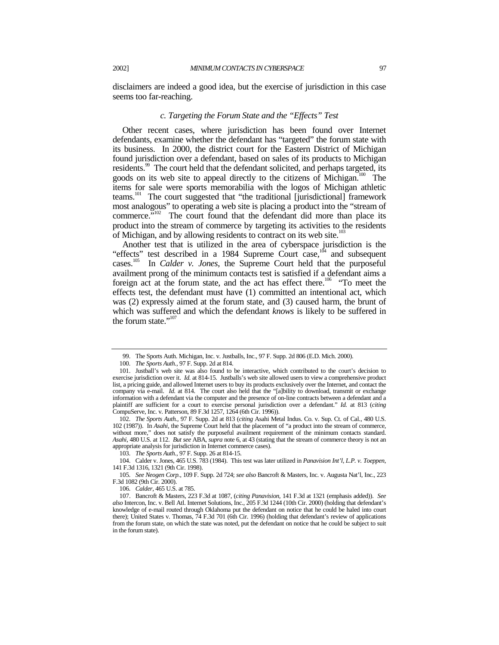disclaimers are indeed a good idea, but the exercise of jurisdiction in this case seems too far-reaching.

#### *c. Targeting the Forum State and the "Effects" Test*

Other recent cases, where jurisdiction has been found over Internet defendants, examine whether the defendant has "targeted" the forum state with its business. In 2000, the district court for the Eastern District of Michigan found jurisdiction over a defendant, based on sales of its products to Michigan residents.<sup>99</sup> The court held that the defendant solicited, and perhaps targeted, its goods on its web site to appeal directly to the citizens of Michigan.<sup>100</sup> The items for sale were sports memorabilia with the logos of Michigan athletic teams.101 The court suggested that "the traditional [jurisdictional] framework most analogous" to operating a web site is placing a product into the "stream of commerce."<sup>102</sup> The court found that the defendant did more than place its product into the stream of commerce by targeting its activities to the residents of Michigan, and by allowing residents to contract on its web site.<sup>103</sup>

Another test that is utilized in the area of cyberspace jurisdiction is the "effects" test described in a 1984 Supreme Court case, $104$  and subsequent cases.105 In *Calder v. Jones*, the Supreme Court held that the purposeful availment prong of the minimum contacts test is satisfied if a defendant aims a foreign act at the forum state, and the act has effect there.<sup>106</sup> "To meet the effects test, the defendant must have (1) committed an intentional act, which was (2) expressly aimed at the forum state, and (3) caused harm, the brunt of which was suffered and which the defendant *knows* is likely to be suffered in the forum state."<sup>107</sup>

102*. The Sports Auth.,* 97 F. Supp. 2d at 813 (*citing* Asahi Metal Indus. Co. v. Sup. Ct. of Cal., 480 U.S. 102 (1987)). In *Asahi*, the Supreme Court held that the placement of "a product into the stream of commerce, without more," does not satisfy the purposeful availment requirement of the minimum contacts standard. *Asahi,* 480 U.S*.* at 112. *But see* ABA, *supra* note 6, at 43 (stating that the stream of commerce theory is not an appropriate analysis for jurisdiction in Internet commerce cases).

103*. The Sports Auth.*, 97 F. Supp. 26 at 814-15.

104. Calder v. Jones, 465 U.S. 783 (1984). This test was later utilized in *Panavision Int'l, L.P. v. Toeppen*, 141 F.3d 1316, 1321 (9th Cir. 1998).

105*. See Neogen Corp.*, 109 F. Supp. 2d 724; *see also* Bancroft & Masters, Inc. v. Augusta Nat'l, Inc., 223 F.3d 1082 (9th Cir. 2000).

106*. Calder,* 465 U.S. at 785.

107. Bancroft & Masters, 223 F.3d at 1087, (*citing Panavision*, 141 F.3d at 1321 (emphasis added)). *See also* Intercon, Inc. v. Bell Atl. Internet Solutions, Inc., 205 F.3d 1244 (10th Cir. 2000) (holding that defendant's knowledge of e-mail routed through Oklahoma put the defendant on notice that he could be haled into court there); United States v. Thomas, 74 F.3d 701 (6th Cir. 1996) (holding that defendant's review of applications from the forum state, on which the state was noted, put the defendant on notice that he could be subject to suit in the forum state).

<sup>99.</sup> The Sports Auth. Michigan, Inc. v. Justballs, Inc., 97 F. Supp. 2d 806 (E.D. Mich. 2000).

<sup>100</sup>*. The Sports Auth.,* 97 F. Supp. 2d at 814.

<sup>101.</sup> Justball's web site was also found to be interactive, which contributed to the court's decision to exercise jurisdiction over it. *Id.* at 814-15. Justballs's web site allowed users to view a comprehensive product list, a pricing guide, and allowed Internet users to buy its products exclusively over the Internet, and contact the company via e-mail. *Id.* at 814. The court also held that the "[a]bility to download, transmit or exchange information with a defendant via the computer and the presence of on-line contracts between a defendant and a plaintiff are sufficient for a court to exercise personal jurisdiction over a defendant." *Id.* at 813 (*citing* CompuServe, Inc. v. Patterson, 89 F.3d 1257, 1264 (6th Cir. 1996)).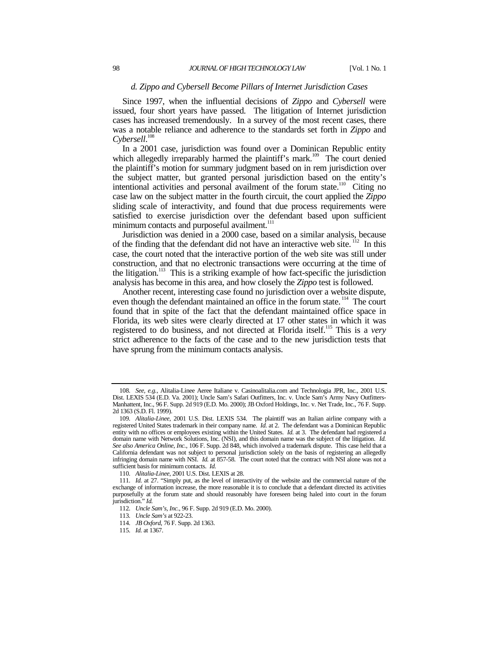#### *d. Zippo and Cybersell Become Pillars of Internet Jurisdiction Cases*

Since 1997, when the influential decisions of *Zippo* and *Cybersell* were issued, four short years have passed. The litigation of Internet jurisdiction cases has increased tremendously. In a survey of the most recent cases, there was a notable reliance and adherence to the standards set forth in *Zippo* and *Cybersell*. 108

In a 2001 case, jurisdiction was found over a Dominican Republic entity which allegedly irreparably harmed the plaintiff's mark.<sup>109</sup> The court denied the plaintiff's motion for summary judgment based on in rem jurisdiction over the subject matter, but granted personal jurisdiction based on the entity's intentional activities and personal availment of the forum state.<sup>110</sup> Citing no case law on the subject matter in the fourth circuit, the court applied the *Zippo* sliding scale of interactivity, and found that due process requirements were satisfied to exercise jurisdiction over the defendant based upon sufficient minimum contacts and purposeful availment.<sup>1</sup>

Jurisdiction was denied in a 2000 case, based on a similar analysis, because of the finding that the defendant did not have an interactive web site. 112 In this case, the court noted that the interactive portion of the web site was still under construction, and that no electronic transactions were occurring at the time of the litigation.<sup>113</sup> This is a striking example of how fact-specific the jurisdiction analysis has become in this area, and how closely the *Zippo* test is followed.

Another recent, interesting case found no jurisdiction over a website dispute, even though the defendant maintained an office in the forum state.<sup>114</sup> The court found that in spite of the fact that the defendant maintained office space in Florida, its web sites were clearly directed at 17 other states in which it was registered to do business, and not directed at Florida itself.115 This is a *very* strict adherence to the facts of the case and to the new jurisdiction tests that have sprung from the minimum contacts analysis.

<sup>108</sup>*. See, e.g.,* Alitalia-Linee Aeree Italiane v. Casinoalitalia.com and Technologia JPR, Inc., 2001 U.S. Dist. LEXIS 534 (E.D. Va. 2001); Uncle Sam's Safari Outfitters, Inc. v. Uncle Sam's Army Navy Outfitters-Manhattent, Inc., 96 F. Supp. 2d 919 (E.D. Mo. 2000); JB Oxford Holdings, Inc. v. Net Trade, Inc., 76 F. Supp. 2d 1363 (S.D. Fl. 1999).

<sup>109</sup>*. Alitalia-Linee*, 2001 U.S. Dist. LEXIS 534. The plaintiff was an Italian airline company with a registered United States trademark in their company name. *Id.* at 2. The defendant was a Dominican Republic entity with no offices or employees existing within the United States. *Id.* at 3. The defendant had registered a domain name with Network Solutions, Inc. (NSI), and this domain name was the subject of the litigation. *Id. See also America Online, Inc.*, 106 F. Supp. 2d 848, which involved a trademark dispute. This case held that a California defendant was not subject to personal jurisdiction solely on the basis of registering an allegedly infringing domain name with NSI. *Id.* at 857-58. The court noted that the contract with NSI alone was not a sufficient basis for minimum contacts. *Id.*

<sup>110</sup>*. Alitalia-Linee*, 2001 U.S. Dist. LEXIS at 28.

<sup>111</sup>*. Id.* at 27. "Simply put, as the level of interactivity of the website and the commercial nature of the exchange of information increase, the more reasonable it is to conclude that a defendant directed its activities purposefully at the forum state and should reasonably have foreseen being haled into court in the forum jurisdiction." *Id.*

<sup>112</sup>*. Uncle Sam's, Inc.*, 96 F. Supp. 2d 919 (E.D. Mo. 2000).

<sup>113</sup>*. Uncle Sam's* at 922-23.

<sup>114</sup>*. JB Oxford*, 76 F. Supp. 2d 1363.

<sup>115</sup>*. Id.* at 1367.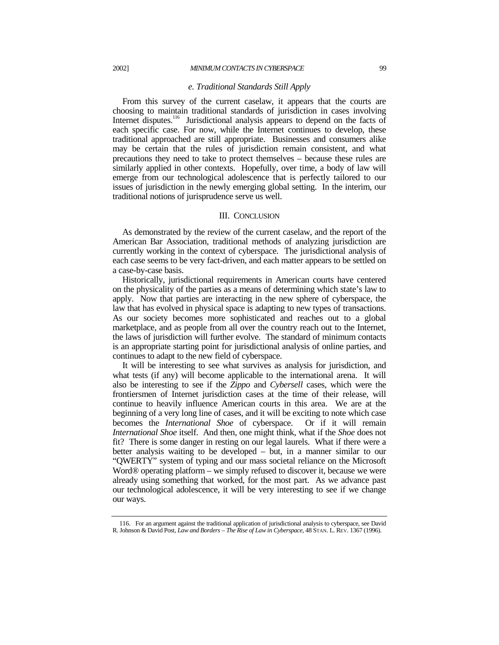#### *e. Traditional Standards Still Apply*

From this survey of the current caselaw, it appears that the courts are choosing to maintain traditional standards of jurisdiction in cases involving Internet disputes.<sup>116</sup> Jurisdictional analysis appears to depend on the facts of each specific case. For now, while the Internet continues to develop, these traditional approached are still appropriate. Businesses and consumers alike may be certain that the rules of jurisdiction remain consistent, and what precautions they need to take to protect themselves – because these rules are similarly applied in other contexts. Hopefully, over time, a body of law will emerge from our technological adolescence that is perfectly tailored to our issues of jurisdiction in the newly emerging global setting. In the interim, our traditional notions of jurisprudence serve us well.

## III. CONCLUSION

As demonstrated by the review of the current caselaw, and the report of the American Bar Association, traditional methods of analyzing jurisdiction are currently working in the context of cyberspace. The jurisdictional analysis of each case seems to be very fact-driven, and each matter appears to be settled on a case-by-case basis.

Historically, jurisdictional requirements in American courts have centered on the physicality of the parties as a means of determining which state's law to apply. Now that parties are interacting in the new sphere of cyberspace, the law that has evolved in physical space is adapting to new types of transactions. As our society becomes more sophisticated and reaches out to a global marketplace, and as people from all over the country reach out to the Internet, the laws of jurisdiction will further evolve. The standard of minimum contacts is an appropriate starting point for jurisdictional analysis of online parties, and continues to adapt to the new field of cyberspace.

It will be interesting to see what survives as analysis for jurisdiction, and what tests (if any) will become applicable to the international arena. It will also be interesting to see if the *Zippo* and *Cybersell* cases, which were the frontiersmen of Internet jurisdiction cases at the time of their release, will continue to heavily influence American courts in this area. We are at the beginning of a very long line of cases, and it will be exciting to note which case becomes the *International Shoe* of cyberspace. Or if it will remain *International Shoe* itself. And then, one might think, what if the *Shoe* does not fit? There is some danger in resting on our legal laurels. What if there were a better analysis waiting to be developed – but, in a manner similar to our "QWERTY" system of typing and our mass societal reliance on the Microsoft Word® operating platform – we simply refused to discover it, because we were already using something that worked, for the most part. As we advance past our technological adolescence, it will be very interesting to see if we change our ways.

<sup>116.</sup> For an argument against the traditional application of jurisdictional analysis to cyberspace, see David R. Johnson & David Post, *Law and Borders – The Rise of Law in Cyberspace*, 48 STAN. L. REV. 1367 (1996).